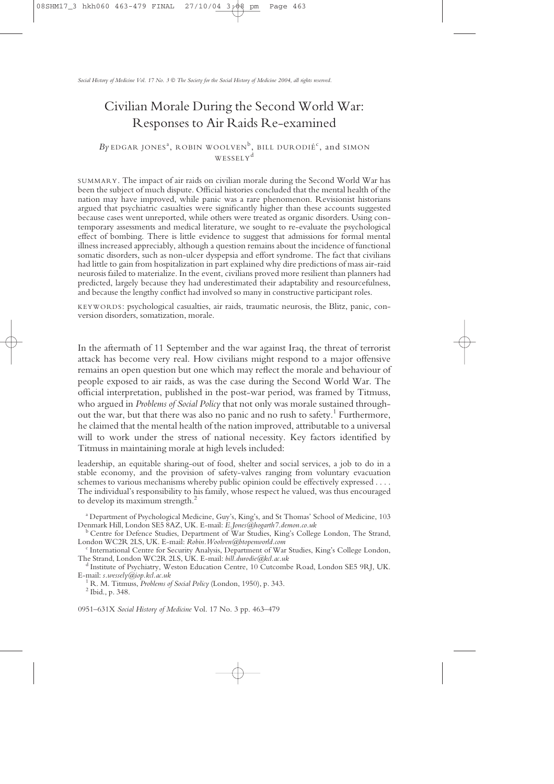# Civilian Morale During the Second World War: Responses to Air Raids Re-examined

# $B$ y edgar jones<sup>a</sup>, robin woolven<sup>b</sup>, bill durodié<sup>c</sup>, and simon WESSELY<sup>d</sup>

SUMMARY. The impact of air raids on civilian morale during the Second World War has been the subject of much dispute. Official histories concluded that the mental health of the nation may have improved, while panic was a rare phenomenon. Revisionist historians argued that psychiatric casualties were significantly higher than these accounts suggested because cases went unreported, while others were treated as organic disorders. Using contemporary assessments and medical literature, we sought to re-evaluate the psychological effect of bombing. There is little evidence to suggest that admissions for formal mental illness increased appreciably, although a question remains about the incidence of functional somatic disorders, such as non-ulcer dyspepsia and effort syndrome. The fact that civilians had little to gain from hospitalization in part explained why dire predictions of mass air-raid neurosis failed to materialize. In the event, civilians proved more resilient than planners had predicted, largely because they had underestimated their adaptability and resourcefulness, and because the lengthy conflict had involved so many in constructive participant roles.

KEYWORDS: psychological casualties, air raids, traumatic neurosis, the Blitz, panic, conversion disorders, somatization, morale.

In the aftermath of 11 September and the war against Iraq, the threat of terrorist attack has become very real. How civilians might respond to a major offensive remains an open question but one which may reflect the morale and behaviour of people exposed to air raids, as was the case during the Second World War. The official interpretation, published in the post-war period, was framed by Titmuss, who argued in *Problems of Social Policy* that not only was morale sustained throughout the war, but that there was also no panic and no rush to safety.<sup>1</sup> Furthermore, he claimed that the mental health of the nation improved, attributable to a universal will to work under the stress of national necessity. Key factors identified by Titmuss in maintaining morale at high levels included:

leadership, an equitable sharing-out of food, shelter and social services, a job to do in a stable economy, and the provision of safety-valves ranging from voluntary evacuation schemes to various mechanisms whereby public opinion could be effectively expressed . . . . The individual's responsibility to his family, whose respect he valued, was thus encouraged to develop its maximum strength.<sup>2</sup>

<sup>a</sup> Department of Psychological Medicine, Guy's, King's, and St Thomas' School of Medicine, 103<br>Denmark Hill, London SE5 8AZ, UK. E-mail: *E.Jones@hogarth7.demon.co.uk* 

0951–631X *Social History of Medicine* Vol. 17 No. 3 pp. 463–479

<sup>&</sup>lt;sup>b</sup> Centre for Defence Studies, Department of War Studies, King's College London, The Strand, London WC2R 2LS, UK. E-mail: *Robin.Woolven@btopenworld.com* 

<sup>&</sup>lt;sup>c</sup> International Centre for Security Analysis, Department of War Studies, King's College London, The Strand, London WC2R 2LS, UK. E-mail: *bill.durodie@kcl.ac.uk* 

<sup>&</sup>lt;sup>d</sup> Institute of Psychiatry, Weston Education Centre, 10 Cutcombe Road, London SE5 9RJ, UK. E-mail: *s.wessely@iop.kcl.ac.uk*<br><sup>1</sup> R. M. Titmuss, *Problems of Social Policy* (London, 1950), p. 343.<br><sup>2</sup> Ibid., p. 348.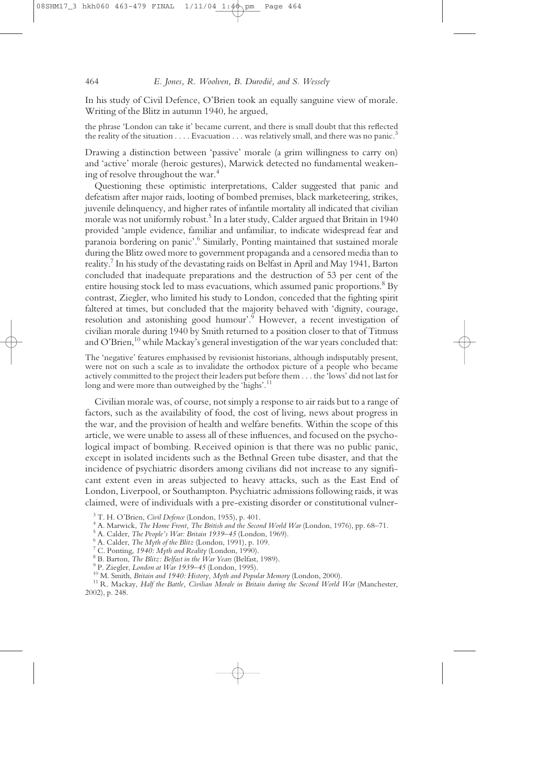In his study of Civil Defence, O'Brien took an equally sanguine view of morale. Writing of the Blitz in autumn 1940, he argued,

the phrase 'London can take it' became current, and there is small doubt that this reflected the reality of the situation  $\dots$ . Evacuation  $\dots$  was relatively small, and there was no panic.<sup>3</sup>

Drawing a distinction between 'passive' morale (a grim willingness to carry on) and 'active' morale (heroic gestures), Marwick detected no fundamental weakening of resolve throughout the war.<sup>4</sup>

Questioning these optimistic interpretations, Calder suggested that panic and defeatism after major raids, looting of bombed premises, black marketeering, strikes, juvenile delinquency, and higher rates of infantile mortality all indicated that civilian morale was not uniformly robust.<sup>5</sup> In a later study, Calder argued that Britain in 1940 provided 'ample evidence, familiar and unfamiliar, to indicate widespread fear and paranoia bordering on panic'.6 Similarly, Ponting maintained that sustained morale during the Blitz owed more to government propaganda and a censored media than to reality.7 In his study of the devastating raids on Belfast in April and May 1941, Barton concluded that inadequate preparations and the destruction of 53 per cent of the entire housing stock led to mass evacuations, which assumed panic proportions.<sup>8</sup> By contrast, Ziegler, who limited his study to London, conceded that the fighting spirit faltered at times, but concluded that the majority behaved with 'dignity, courage, resolution and astonishing good humour'.<sup>9</sup> However, a recent investigation of civilian morale during 1940 by Smith returned to a position closer to that of Titmuss and O'Brien,<sup>10</sup> while Mackay's general investigation of the war years concluded that:

The 'negative' features emphasised by revisionist historians, although indisputably present, were not on such a scale as to invalidate the orthodox picture of a people who became actively committed to the project their leaders put before them . . . the 'lows' did not last for long and were more than outweighed by the 'highs'.<sup>11</sup>

Civilian morale was, of course, not simply a response to air raids but to a range of factors, such as the availability of food, the cost of living, news about progress in the war, and the provision of health and welfare benefits. Within the scope of this article, we were unable to assess all of these influences, and focused on the psychological impact of bombing. Received opinion is that there was no public panic, except in isolated incidents such as the Bethnal Green tube disaster, and that the incidence of psychiatric disorders among civilians did not increase to any significant extent even in areas subjected to heavy attacks, such as the East End of London, Liverpool, or Southampton. Psychiatric admissions following raids, it was claimed, were of individuals with a pre-existing disorder or constitutional vulner-

- 
- 

<sup>&</sup>lt;sup>3</sup> T. H. O'Brien, *Civil Defence* (London, 1955), p. 401.<br>
<sup>4</sup> A. Marwick, *The Home Front, The British and the Second World War* (London, 1976), pp. 68–71.<br>
<sup>5</sup> A. Calder, *The People's War: Britain 1939–45* (London, 19

<sup>2002),</sup> p. 248.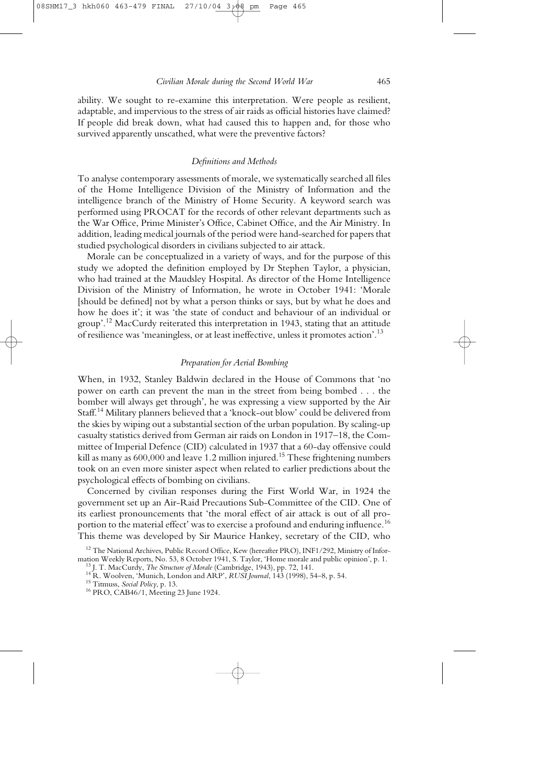ability. We sought to re-examine this interpretation. Were people as resilient, adaptable, and impervious to the stress of air raids as official histories have claimed? If people did break down, what had caused this to happen and, for those who survived apparently unscathed, what were the preventive factors?

# *Definitions and Methods*

To analyse contemporary assessments of morale, we systematically searched all files of the Home Intelligence Division of the Ministry of Information and the intelligence branch of the Ministry of Home Security. A keyword search was performed using PROCAT for the records of other relevant departments such as the War Office, Prime Minister's Office, Cabinet Office, and the Air Ministry. In addition, leading medical journals of the period were hand-searched for papers that studied psychological disorders in civilians subjected to air attack.

Morale can be conceptualized in a variety of ways, and for the purpose of this study we adopted the definition employed by Dr Stephen Taylor, a physician, who had trained at the Maudsley Hospital. As director of the Home Intelligence Division of the Ministry of Information, he wrote in October 1941: 'Morale [should be defined] not by what a person thinks or says, but by what he does and how he does it'; it was 'the state of conduct and behaviour of an individual or group'.<sup>12</sup> MacCurdy reiterated this interpretation in 1943, stating that an attitude of resilience was 'meaningless, or at least ineffective, unless it promotes action'.13

# *Preparation for Aerial Bombing*

When, in 1932, Stanley Baldwin declared in the House of Commons that 'no power on earth can prevent the man in the street from being bombed . . . the bomber will always get through', he was expressing a view supported by the Air Staff.<sup>14</sup> Military planners believed that a 'knock-out blow' could be delivered from the skies by wiping out a substantial section of the urban population. By scaling-up casualty statistics derived from German air raids on London in 1917–18, the Committee of Imperial Defence (CID) calculated in 1937 that a 60-day offensive could kill as many as 600,000 and leave 1.2 million injured.<sup>15</sup> These frightening numbers took on an even more sinister aspect when related to earlier predictions about the psychological effects of bombing on civilians.

Concerned by civilian responses during the First World War, in 1924 the government set up an Air-Raid Precautions Sub-Committee of the CID. One of its earliest pronouncements that 'the moral effect of air attack is out of all proportion to the material effect' was to exercise a profound and enduring influence.<sup>16</sup> This theme was developed by Sir Maurice Hankey, secretary of the CID, who

<sup>&</sup>lt;sup>12</sup> The National Archives, Public Record Office, Kew (hereafter PRO), INF1/292, Ministry of Infor-<br>mation Weekly Reports, No. 53, 8 October 1941, S. Taylor, 'Home morale and public opinion', p. 1.

<sup>&</sup>lt;sup>13</sup> J. T. MacCurdy, *The Structure of Morale* (Cambridge, 1943), pp. 72, 141.<br><sup>14</sup> R. Woolven, 'Munich, London and ARP', *RUSI Journal*, 143 (1998), 54–8, p. 54.<br><sup>15</sup> Titmuss, *Social Policy*, p. 13.<br><sup>16</sup> PRO, CAB46/1, M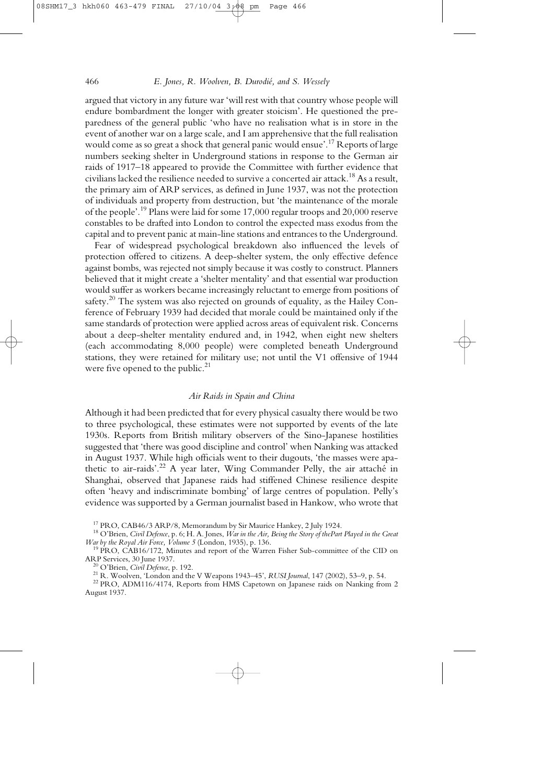## 466 *E. Jones, R. Woolven, B. Durodié, and S. Wessely*

argued that victory in any future war 'will rest with that country whose people will endure bombardment the longer with greater stoicism'. He questioned the preparedness of the general public 'who have no realisation what is in store in the event of another war on a large scale, and I am apprehensive that the full realisation would come as so great a shock that general panic would ensue'.<sup>17</sup> Reports of large numbers seeking shelter in Underground stations in response to the German air raids of 1917–18 appeared to provide the Committee with further evidence that civilians lacked the resilience needed to survive a concerted air attack.18 As a result, the primary aim of ARP services, as defined in June 1937, was not the protection of individuals and property from destruction, but 'the maintenance of the morale of the people'.19 Plans were laid for some 17,000 regular troops and 20,000 reserve constables to be drafted into London to control the expected mass exodus from the capital and to prevent panic at main-line stations and entrances to the Underground.

Fear of widespread psychological breakdown also influenced the levels of protection offered to citizens. A deep-shelter system, the only effective defence against bombs, was rejected not simply because it was costly to construct. Planners believed that it might create a 'shelter mentality' and that essential war production would suffer as workers became increasingly reluctant to emerge from positions of safety.<sup>20</sup> The system was also rejected on grounds of equality, as the Hailey Conference of February 1939 had decided that morale could be maintained only if the same standards of protection were applied across areas of equivalent risk. Concerns about a deep-shelter mentality endured and, in 1942, when eight new shelters (each accommodating 8,000 people) were completed beneath Underground stations, they were retained for military use; not until the V1 offensive of 1944 were five opened to the public. $21$ 

# *Air Raids in Spain and China*

Although it had been predicted that for every physical casualty there would be two to three psychological, these estimates were not supported by events of the late 1930s. Reports from British military observers of the Sino-Japanese hostilities suggested that 'there was good discipline and control' when Nanking was attacked in August 1937. While high officials went to their dugouts, 'the masses were apathetic to air-raids'.22 A year later, Wing Commander Pelly, the air attaché in Shanghai, observed that Japanese raids had stiffened Chinese resilience despite often 'heavy and indiscriminate bombing' of large centres of population. Pelly's evidence was supported by a German journalist based in Hankow, who wrote that

<sup>&</sup>lt;sup>17</sup> PRO, CAB46/3 ARP/8, Memorandum by Sir Maurice Hankey, 2 July 1924.<br><sup>18</sup> O'Brien, *Civil Defence*, p. 6; H. A. Jones, *War in the Air, Being the Story of thePart Played in the Great War by the Royal Air Force, Volume* 

<sup>&</sup>lt;sup>19</sup> PRO, CAB16/172, Minutes and report of the Warren Fisher Sub-committee of the CID on ARP Services, 30 June 1937.

<sup>&</sup>lt;sup>20</sup> O'Brien, *Civil Defence*, p. 192.<br><sup>21</sup> R. Woolven, 'London and the V Weapons 1943–45', *RUSI Journal*, 147 (2002), 53–9, p. 54.<br><sup>22</sup> PRO, ADM116/4174, Reports from HMS Capetown on Japanese raids on Nanking from 2

August 1937.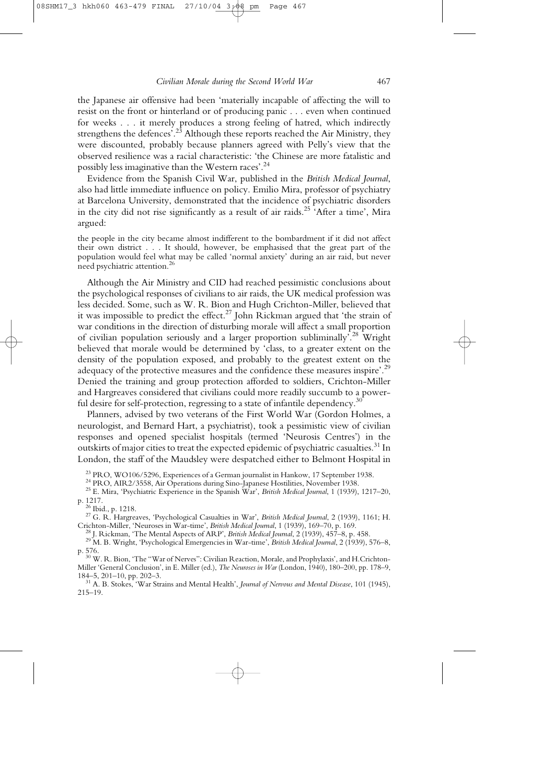the Japanese air offensive had been 'materially incapable of affecting the will to resist on the front or hinterland or of producing panic . . . even when continued for weeks . . . it merely produces a strong feeling of hatred, which indirectly strengthens the defences<sup>'.23</sup> Although these reports reached the Air Ministry, they were discounted, probably because planners agreed with Pelly's view that the observed resilience was a racial characteristic: 'the Chinese are more fatalistic and possibly less imaginative than the Western races'.24

Evidence from the Spanish Civil War, published in the *British Medical Journal*, also had little immediate influence on policy. Emilio Mira, professor of psychiatry at Barcelona University, demonstrated that the incidence of psychiatric disorders in the city did not rise significantly as a result of air raids.<sup>25</sup> 'After a time', Mira argued:

the people in the city became almost indifferent to the bombardment if it did not affect their own district . . . It should, however, be emphasised that the great part of the population would feel what may be called 'normal anxiety' during an air raid, but never need psychiatric attention.<sup>26</sup>

Although the Air Ministry and CID had reached pessimistic conclusions about the psychological responses of civilians to air raids, the UK medical profession was less decided. Some, such as W. R. Bion and Hugh Crichton-Miller, believed that it was impossible to predict the effect.<sup>27</sup> John Rickman argued that 'the strain of war conditions in the direction of disturbing morale will affect a small proportion of civilian population seriously and a larger proportion subliminally'.28 Wright believed that morale would be determined by 'class, to a greater extent on the density of the population exposed, and probably to the greatest extent on the adequacy of the protective measures and the confidence these measures inspire'.<sup>29</sup> Denied the training and group protection afforded to soldiers, Crichton-Miller and Hargreaves considered that civilians could more readily succumb to a powerful desire for self-protection, regressing to a state of infantile dependency.<sup>30</sup>

Planners, advised by two veterans of the First World War (Gordon Holmes, a neurologist, and Bernard Hart, a psychiatrist), took a pessimistic view of civilian responses and opened specialist hospitals (termed 'Neurosis Centres') in the outskirts of major cities to treat the expected epidemic of psychiatric casualties.<sup>31</sup> In London, the staff of the Maudsley were despatched either to Belmont Hospital in

<sup>23</sup> PRO, WO106/5296, Experiences of a German journalist in Hankow, 17 September 1938.<br><sup>24</sup> PRO, AIR2/3558, Air Operations during Sino-Japanese Hostilities, November 1938.<br><sup>25</sup> E. Mira, 'Psychiatric Experience in the Span

<sup>2</sup><sup>26</sup> Ibid., p. 1218.<br><sup>27</sup> G. R. Hargreaves, 'Psychological Casualties in War', *British Medical Journal*, 2 (1939), 1161; H.<br>Crichton-Miller, 'Neuroses in War-time', *British Medical Journal*, 1 (1939), 169–70, p. 169.

<sup>28</sup> J. Rickman, 'The Mental Aspects of ARP', *British Medical Journal*, 2 (1939), 457–8, p. 458.<br><sup>29</sup> M. B. Wright, 'Psychological Emergencies in War-time', *British Medical Journal*, 2 (1939), 576–8, p. 576.

<sup>30</sup> W. R. Bion, 'The "War of Nerves": Civilian Reaction, Morale, and Prophylaxis', and H.Crichton-Miller 'General Conclusion', in E. Miller (ed.), *The Neuroses in War* (London, 1940), 180–200, pp. 178–9, 184–5, 201–10, pp. 202–3.

<sup>31</sup> A. B. Stokes, 'War Strains and Mental Health', *Journal of Nervous and Mental Disease*, 101 (1945), 215–19.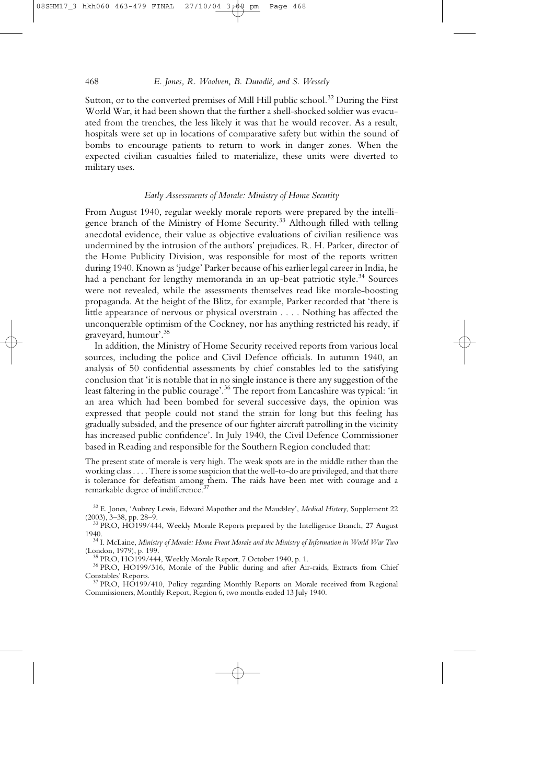Sutton, or to the converted premises of Mill Hill public school.<sup>32</sup> During the First World War, it had been shown that the further a shell-shocked soldier was evacuated from the trenches, the less likely it was that he would recover. As a result, hospitals were set up in locations of comparative safety but within the sound of bombs to encourage patients to return to work in danger zones. When the expected civilian casualties failed to materialize, these units were diverted to military uses.

# *Early Assessments of Morale: Ministry of Home Security*

From August 1940, regular weekly morale reports were prepared by the intelligence branch of the Ministry of Home Security.<sup>33</sup> Although filled with telling anecdotal evidence, their value as objective evaluations of civilian resilience was undermined by the intrusion of the authors' prejudices. R. H. Parker, director of the Home Publicity Division, was responsible for most of the reports written during 1940. Known as 'judge' Parker because of his earlier legal career in India, he had a penchant for lengthy memoranda in an up-beat patriotic style.<sup>34</sup> Sources were not revealed, while the assessments themselves read like morale-boosting propaganda. At the height of the Blitz, for example, Parker recorded that 'there is little appearance of nervous or physical overstrain . . . . Nothing has affected the unconquerable optimism of the Cockney, nor has anything restricted his ready, if graveyard, humour'.35

In addition, the Ministry of Home Security received reports from various local sources, including the police and Civil Defence officials. In autumn 1940, an analysis of 50 confidential assessments by chief constables led to the satisfying conclusion that 'it is notable that in no single instance is there any suggestion of the least faltering in the public courage'.36 The report from Lancashire was typical: 'in an area which had been bombed for several successive days, the opinion was expressed that people could not stand the strain for long but this feeling has gradually subsided, and the presence of our fighter aircraft patrolling in the vicinity has increased public confidence'. In July 1940, the Civil Defence Commissioner based in Reading and responsible for the Southern Region concluded that:

The present state of morale is very high. The weak spots are in the middle rather than the working class . . . . There is some suspicion that the well-to-do are privileged, and that there is tolerance for defeatism among them. The raids have been met with courage and a remarkable degree of indifference.<sup>37</sup>

<sup>32</sup> E. Jones, 'Aubrey Lewis, Edward Mapother and the Maudsley', *Medical History*, Supplement 22

 $^{23}$  PRO, HO199/444, Weekly Morale Reports prepared by the Intelligence Branch, 27 August 1940.

<sup>34</sup> I. McLaine, *Ministry of Morale: Home Front Morale and the Ministry of Information in World War Two* (London, 1979), p. 199.

<sup>35</sup> PRO, HO199/444, Weekly Morale Report, 7 October 1940, p. 1.<br><sup>36</sup> PRO, HO199/316, Morale of the Public during and after Air-raids, Extracts from Chief Constables' Reports.

 $^{37}$  PRO, HO199/410, Policy regarding Monthly Reports on Morale received from Regional Commissioners, Monthly Report, Region 6, two months ended 13 July 1940.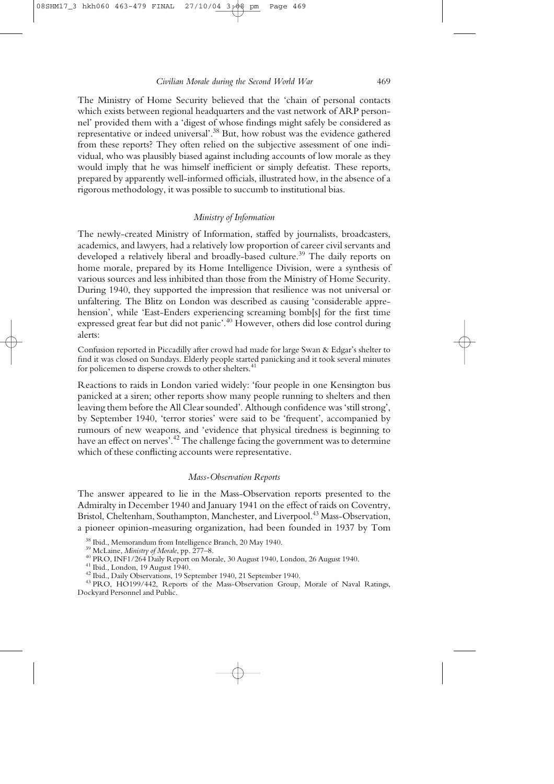The Ministry of Home Security believed that the 'chain of personal contacts which exists between regional headquarters and the vast network of ARP personnel' provided them with a 'digest of whose findings might safely be considered as representative or indeed universal'.38 But, how robust was the evidence gathered from these reports? They often relied on the subjective assessment of one individual, who was plausibly biased against including accounts of low morale as they would imply that he was himself inefficient or simply defeatist. These reports, prepared by apparently well-informed officials, illustrated how, in the absence of a rigorous methodology, it was possible to succumb to institutional bias.

# *Ministry of Information*

The newly-created Ministry of Information, staffed by journalists, broadcasters, academics, and lawyers, had a relatively low proportion of career civil servants and developed a relatively liberal and broadly-based culture.<sup>39</sup> The daily reports on home morale, prepared by its Home Intelligence Division, were a synthesis of various sources and less inhibited than those from the Ministry of Home Security. During 1940, they supported the impression that resilience was not universal or unfaltering. The Blitz on London was described as causing 'considerable apprehension', while 'East-Enders experiencing screaming bomb[s] for the first time expressed great fear but did not panic'.40 However, others did lose control during alerts:

Confusion reported in Piccadilly after crowd had made for large Swan & Edgar's shelter to find it was closed on Sundays. Elderly people started panicking and it took several minutes for policemen to disperse crowds to other shelters.<sup>41</sup>

Reactions to raids in London varied widely: 'four people in one Kensington bus panicked at a siren; other reports show many people running to shelters and then leaving them before the All Clear sounded'. Although confidence was 'still strong', by September 1940, 'terror stories' were said to be 'frequent', accompanied by rumours of new weapons, and 'evidence that physical tiredness is beginning to have an effect on nerves'.<sup>42</sup> The challenge facing the government was to determine which of these conflicting accounts were representative.

#### *Mass-Observation Reports*

The answer appeared to lie in the Mass-Observation reports presented to the Admiralty in December 1940 and January 1941 on the effect of raids on Coventry, Bristol, Cheltenham, Southampton, Manchester, and Liverpool.<sup>43</sup> Mass-Observation, a pioneer opinion-measuring organization, had been founded in 1937 by Tom

<sup>&</sup>lt;sup>38</sup> Ibid., Memorandum from Intelligence Branch, 20 May 1940.<br><sup>39</sup> McLaine, *Ministry of Morale*, pp. 277–8.<br><sup>40</sup> PRO, INF1/264 Daily Report on Morale, 30 August 1940, London, 26 August 1940.<br><sup>41</sup> Ibid., London, 19 August

Dockyard Personnel and Public.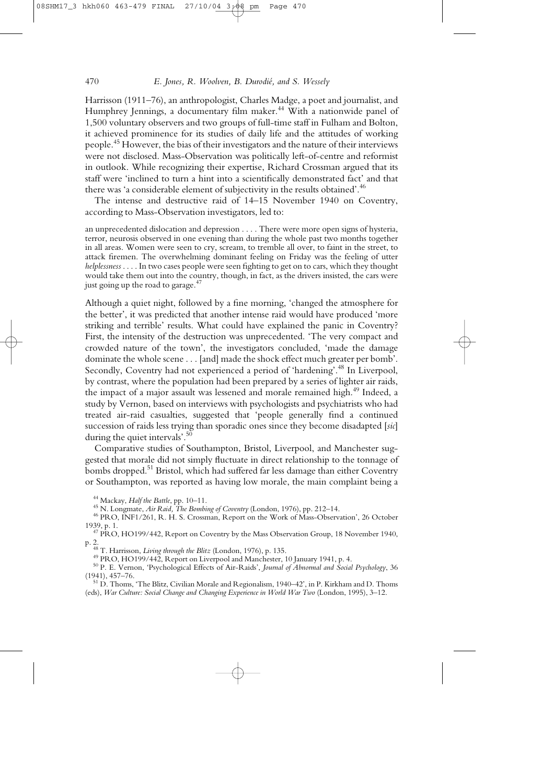Harrisson (1911–76), an anthropologist, Charles Madge, a poet and journalist, and Humphrey Jennings, a documentary film maker.<sup>44</sup> With a nationwide panel of 1,500 voluntary observers and two groups of full-time staff in Fulham and Bolton, it achieved prominence for its studies of daily life and the attitudes of working people.45 However, the bias of their investigators and the nature of their interviews were not disclosed. Mass-Observation was politically left-of-centre and reformist in outlook. While recognizing their expertise, Richard Crossman argued that its staff were 'inclined to turn a hint into a scientifically demonstrated fact' and that there was 'a considerable element of subjectivity in the results obtained'.<sup>46</sup>

The intense and destructive raid of 14–15 November 1940 on Coventry, according to Mass-Observation investigators, led to:

an unprecedented dislocation and depression . . . . There were more open signs of hysteria, terror, neurosis observed in one evening than during the whole past two months together in all areas. Women were seen to cry, scream, to tremble all over, to faint in the street, to attack firemen. The overwhelming dominant feeling on Friday was the feeling of utter *helplessness* . . . . In two cases people were seen fighting to get on to cars, which they thought would take them out into the country, though, in fact, as the drivers insisted, the cars were just going up the road to garage. $47$ 

Although a quiet night, followed by a fine morning, 'changed the atmosphere for the better', it was predicted that another intense raid would have produced 'more striking and terrible' results. What could have explained the panic in Coventry? First, the intensity of the destruction was unprecedented. 'The very compact and crowded nature of the town', the investigators concluded, 'made the damage dominate the whole scene . . . [and] made the shock effect much greater per bomb'. Secondly, Coventry had not experienced a period of 'hardening'.<sup>48</sup> In Liverpool, by contrast, where the population had been prepared by a series of lighter air raids, the impact of a major assault was lessened and morale remained high.<sup>49</sup> Indeed, a study by Vernon, based on interviews with psychologists and psychiatrists who had treated air-raid casualties, suggested that 'people generally find a continued succession of raids less trying than sporadic ones since they become disadapted [*sic*] during the quiet intervals'.<sup>50</sup>

Comparative studies of Southampton, Bristol, Liverpool, and Manchester suggested that morale did not simply fluctuate in direct relationship to the tonnage of bombs dropped.<sup>51</sup> Bristol, which had suffered far less damage than either Coventry or Southampton, was reported as having low morale, the main complaint being a

p. 2.<br><sup>48</sup> T. Harrisson, *Living through the Blitz* (London, 1976), p. 135.<br><sup>49</sup> PRO, HO199/442, Report on Liverpool and Manchester, 10 January 1941, p. 4.<br><sup>50</sup> P. E. Vernon, 'Psychological Effects of Air-Raids', *Journal* 

<sup>51</sup> D. Thoms, 'The Blitz, Civilian Morale and Regionalism, 1940–42', in P. Kirkham and D. Thoms (eds), *War Culture: Social Change and Changing Experience in World War Two* (London, 1995), 3–12.

<sup>&</sup>lt;sup>44</sup> Mackay, *Half the Battle*, pp. 10–11.<br><sup>45</sup> N. Longmate, *Air Raid*, *The Bombing of Coventry* (London, 1976), pp. 212–14.<br><sup>46</sup> PRO, INF1/261, R. H. S. Crossman, Report on the Work of Mass-Observation', 26 October<br>1939

<sup>&</sup>lt;sup>47</sup> PRO, HO199/442, Report on Coventry by the Mass Observation Group, 18 November 1940,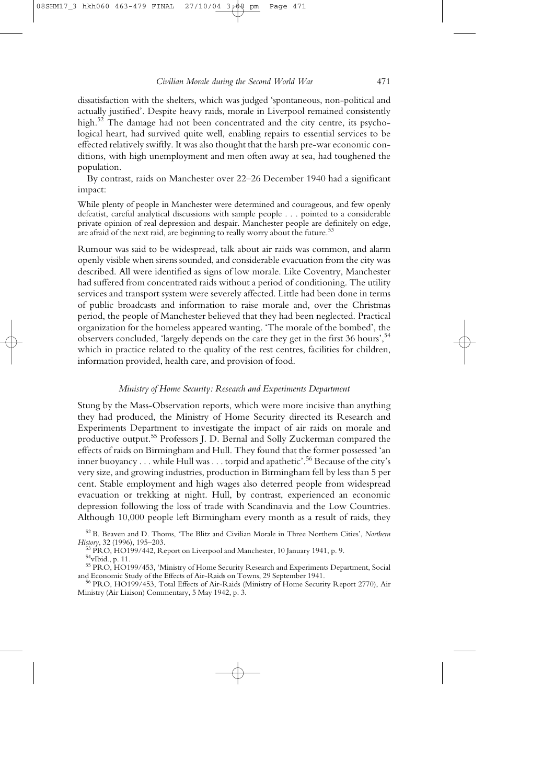dissatisfaction with the shelters, which was judged 'spontaneous, non-political and actually justified'. Despite heavy raids, morale in Liverpool remained consistently high.<sup>52</sup> The damage had not been concentrated and the city centre, its psychological heart, had survived quite well, enabling repairs to essential services to be effected relatively swiftly. It was also thought that the harsh pre-war economic conditions, with high unemployment and men often away at sea, had toughened the population.

By contrast, raids on Manchester over 22–26 December 1940 had a significant impact:

While plenty of people in Manchester were determined and courageous, and few openly defeatist, careful analytical discussions with sample people . . . pointed to a considerable private opinion of real depression and despair. Manchester people are definitely on edge, are afraid of the next raid, are beginning to really worry about the future.<sup>53</sup>

Rumour was said to be widespread, talk about air raids was common, and alarm openly visible when sirens sounded, and considerable evacuation from the city was described. All were identified as signs of low morale. Like Coventry, Manchester had suffered from concentrated raids without a period of conditioning. The utility services and transport system were severely affected. Little had been done in terms of public broadcasts and information to raise morale and, over the Christmas period, the people of Manchester believed that they had been neglected. Practical organization for the homeless appeared wanting. 'The morale of the bombed', the observers concluded, 'largely depends on the care they get in the first 36 hours',<sup>54</sup> which in practice related to the quality of the rest centres, facilities for children, information provided, health care, and provision of food.

## *Ministry of Home Security: Research and Experiments Department*

Stung by the Mass-Observation reports, which were more incisive than anything they had produced, the Ministry of Home Security directed its Research and Experiments Department to investigate the impact of air raids on morale and productive output.55 Professors J. D. Bernal and Solly Zuckerman compared the effects of raids on Birmingham and Hull. They found that the former possessed 'an inner buoyancy . . . while Hull was . . . torpid and apathetic'.<sup>56</sup> Because of the city's very size, and growing industries, production in Birmingham fell by less than 5 per cent. Stable employment and high wages also deterred people from widespread evacuation or trekking at night. Hull, by contrast, experienced an economic depression following the loss of trade with Scandinavia and the Low Countries. Although 10,000 people left Birmingham every month as a result of raids, they

<sup>52</sup> B. Beaven and D. Thoms, 'The Blitz and Civilian Morale in Three Northern Cities', *Northern*

<sup>&</sup>lt;sup>53</sup> PRO, HO199/442, Report on Liverpool and Manchester, 10 January 1941, p. 9.<br><sup>54</sup>vIbid., p. 11.

<sup>&</sup>lt;sup>55</sup> PRO, HO199/453, 'Ministry of Home Security Research and Experiments Department, Social and Economic Study of the Effects of Air-Raids on Towns, 29 September 1941.

<sup>&</sup>lt;sup>56</sup> PRO, HO199/453, Total Effects of Air-Raids (Ministry of Home Security Report 2770), Air Ministry (Air Liaison) Commentary, 5 May 1942, p. 3.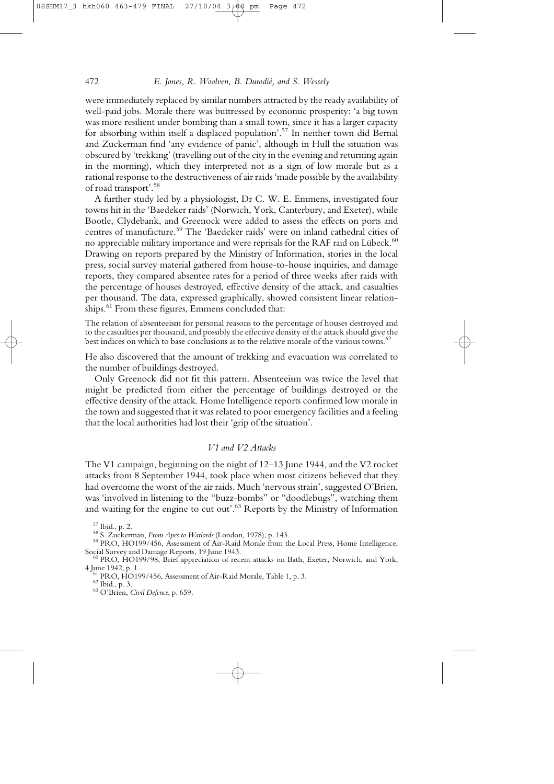were immediately replaced by similar numbers attracted by the ready availability of well-paid jobs. Morale there was buttressed by economic prosperity: 'a big town was more resilient under bombing than a small town, since it has a larger capacity for absorbing within itself a displaced population'.<sup>57</sup> In neither town did Bernal and Zuckerman find 'any evidence of panic', although in Hull the situation was obscured by 'trekking' (travelling out of the city in the evening and returning again in the morning), which they interpreted not as a sign of low morale but as a rational response to the destructiveness of air raids 'made possible by the availability of road transport'.58

A further study led by a physiologist, Dr C. W. E. Emmens, investigated four towns hit in the 'Baedeker raids' (Norwich, York, Canterbury, and Exeter), while Bootle, Clydebank, and Greenock were added to assess the effects on ports and centres of manufacture.<sup>59</sup> The 'Baedeker raids' were on inland cathedral cities of no appreciable military importance and were reprisals for the RAF raid on Lübeck. $60$ Drawing on reports prepared by the Ministry of Information, stories in the local press, social survey material gathered from house-to-house inquiries, and damage reports, they compared absentee rates for a period of three weeks after raids with the percentage of houses destroyed, effective density of the attack, and casualties per thousand. The data, expressed graphically, showed consistent linear relationships.<sup>61</sup> From these figures, Emmens concluded that:

The relation of absenteeism for personal reasons to the percentage of houses destroyed and to the casualties per thousand, and possibly the effective density of the attack should give the best indices on which to base conclusions as to the relative morale of the various towns.<sup>62</sup>

He also discovered that the amount of trekking and evacuation was correlated to the number of buildings destroyed.

Only Greenock did not fit this pattern. Absenteeism was twice the level that might be predicted from either the percentage of buildings destroyed or the effective density of the attack. Home Intelligence reports confirmed low morale in the town and suggested that it was related to poor emergency facilities and a feeling that the local authorities had lost their 'grip of the situation'.

# *V1 and V2 Attacks*

The V1 campaign, beginning on the night of 12–13 June 1944, and the V2 rocket attacks from 8 September 1944, took place when most citizens believed that they had overcome the worst of the air raids. Much 'nervous strain', suggested O'Brien, was 'involved in listening to the "buzz-bombs" or "doodlebugs", watching them and waiting for the engine to cut out'. $^{63}$  Reports by the Ministry of Information

<sup>&</sup>lt;sup>57</sup> Ibid., p. 2.<br><sup>58</sup> S. Zuckerman, *From Apes to Warlords* (London, 1978), p. 143.<br><sup>59</sup> PRO, HO199/456, Assessment of Air-Raid Morale from the Local Press, Home Intelligence,<br>Social Survey and Damage Reports. 19 June 194

 $^{60}$  PRO, HO199/98, Brief appreciation of recent attacks on Bath, Exeter, Norwich, and York, 4 June 1942, p. 1.

<sup>&</sup>lt;sup>61</sup> PRO, HO199/456, Assessment of Air-Raid Morale, Table 1, p. 3.<br><sup>62</sup> Ibid., p. 3. 63 O'Brien, *Civil Defence*, p. 659.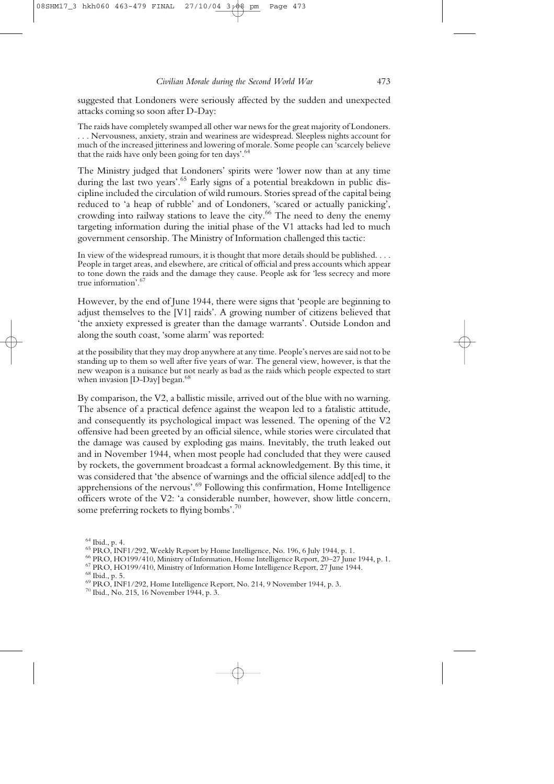suggested that Londoners were seriously affected by the sudden and unexpected attacks coming so soon after D-Day:

The raids have completely swamped all other war news for the great majority of Londoners. . . . Nervousness, anxiety, strain and weariness are widespread. Sleepless nights account for much of the increased jitteriness and lowering of morale. Some people can 'scarcely believe that the raids have only been going for ten days'.<sup>64</sup>

The Ministry judged that Londoners' spirits were 'lower now than at any time during the last two years'.<sup>65</sup> Early signs of a potential breakdown in public discipline included the circulation of wild rumours. Stories spread of the capital being reduced to 'a heap of rubble' and of Londoners, 'scared or actually panicking', crowding into railway stations to leave the city.<sup>66</sup> The need to deny the enemy targeting information during the initial phase of the V1 attacks had led to much government censorship. The Ministry of Information challenged this tactic:

In view of the widespread rumours, it is thought that more details should be published. . . . People in target areas, and elsewhere, are critical of official and press accounts which appear to tone down the raids and the damage they cause. People ask for 'less secrecy and more true information'.<sup>67</sup>

However, by the end of June 1944, there were signs that 'people are beginning to adjust themselves to the [V1] raids'. A growing number of citizens believed that 'the anxiety expressed is greater than the damage warrants'. Outside London and along the south coast, 'some alarm' was reported:

at the possibility that they may drop anywhere at any time. People's nerves are said not to be standing up to them so well after five years of war. The general view, however, is that the new weapon is a nuisance but not nearly as bad as the raids which people expected to start when invasion  $[D-Day]$  began.<sup>68</sup>

By comparison, the V2, a ballistic missile, arrived out of the blue with no warning. The absence of a practical defence against the weapon led to a fatalistic attitude, and consequently its psychological impact was lessened. The opening of the V2 offensive had been greeted by an official silence, while stories were circulated that the damage was caused by exploding gas mains. Inevitably, the truth leaked out and in November 1944, when most people had concluded that they were caused by rockets, the government broadcast a formal acknowledgement. By this time, it was considered that 'the absence of warnings and the official silence add[ed] to the apprehensions of the nervous'.69 Following this confirmation, Home Intelligence officers wrote of the V2: 'a considerable number, however, show little concern, some preferring rockets to flying bombs'.<sup>70</sup>

<sup>&</sup>lt;sup>64</sup> Ibid., p. 4.<br>
<sup>65</sup> PRO, INF1/292, Weekly Report by Home Intelligence, No. 196, 6 July 1944, p. 1.<br>
<sup>66</sup> PRO, HO199/410, Ministry of Information, Home Intelligence Report, 20–27 June 1944, p. 1.<br>
<sup>67</sup> PRO, HO199/410,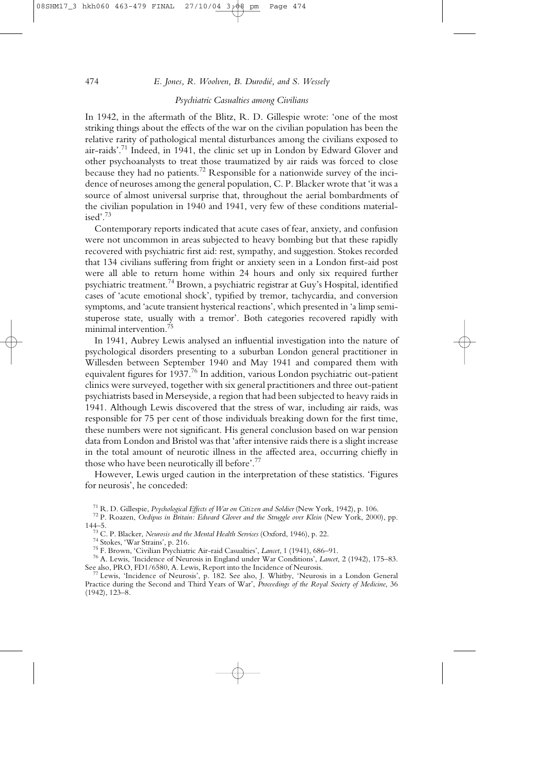# 474 *E. Jones, R. Woolven, B. Durodié, and S. Wessely*

# *Psychiatric Casualties among Civilians*

In 1942, in the aftermath of the Blitz, R. D. Gillespie wrote: 'one of the most striking things about the effects of the war on the civilian population has been the relative rarity of pathological mental disturbances among the civilians exposed to air-raids'.<sup>71</sup> Indeed, in 1941, the clinic set up in London by Edward Glover and other psychoanalysts to treat those traumatized by air raids was forced to close because they had no patients.<sup>72</sup> Responsible for a nationwide survey of the incidence of neuroses among the general population, C. P. Blacker wrote that 'it was a source of almost universal surprise that, throughout the aerial bombardments of the civilian population in 1940 and 1941, very few of these conditions materialised'.<sup>73</sup>

Contemporary reports indicated that acute cases of fear, anxiety, and confusion were not uncommon in areas subjected to heavy bombing but that these rapidly recovered with psychiatric first aid: rest, sympathy, and suggestion. Stokes recorded that 134 civilians suffering from fright or anxiety seen in a London first-aid post were all able to return home within 24 hours and only six required further psychiatric treatment.<sup>74</sup> Brown, a psychiatric registrar at Guy's Hospital, identified cases of 'acute emotional shock', typified by tremor, tachycardia, and conversion symptoms, and 'acute transient hysterical reactions', which presented in 'a limp semistuperose state, usually with a tremor'. Both categories recovered rapidly with minimal intervention.75

In 1941, Aubrey Lewis analysed an influential investigation into the nature of psychological disorders presenting to a suburban London general practitioner in Willesden between September 1940 and May 1941 and compared them with equivalent figures for 1937.<sup>76</sup> In addition, various London psychiatric out-patient clinics were surveyed, together with six general practitioners and three out-patient psychiatrists based in Merseyside, a region that had been subjected to heavy raids in 1941. Although Lewis discovered that the stress of war, including air raids, was responsible for 75 per cent of those individuals breaking down for the first time, these numbers were not significant. His general conclusion based on war pension data from London and Bristol was that 'after intensive raids there is a slight increase in the total amount of neurotic illness in the affected area, occurring chiefly in those who have been neurotically ill before'.77

However, Lewis urged caution in the interpretation of these statistics. 'Figures for neurosis', he conceded:

<sup>&</sup>lt;sup>71</sup> R. D. Gillespie, *Psychological Effects of War on Citizen and Soldier* (New York, 1942), p. 106.<br><sup>72</sup> P. Roazen, *Oedipus in Britain: Edward Glover and the Struggle over Klein* (New York, 2000), pp.<br>144–5.

<sup>&</sup>lt;sup>73</sup> C. P. Blacker, *Neurosis and the Mental Health Services* (Oxford, 1946), p. 22.<br><sup>74</sup> Stokes, 'War Strains', p. 216.<br><sup>75</sup> F. Brown, 'Civilian Psychiatric Air-raid Casualties', *Lancet*, 1 (1941), 686–91.<br><sup>76</sup> A. Lewis

 $^{77}$  Lewis, 'Incidence of Neurosis', p. 182. See also, J. Whitby, 'Neurosis in a London General Practice during the Second and Third Years of War', *Proceedings of the Royal Society of Medicine*, 36 (1942), 123–8.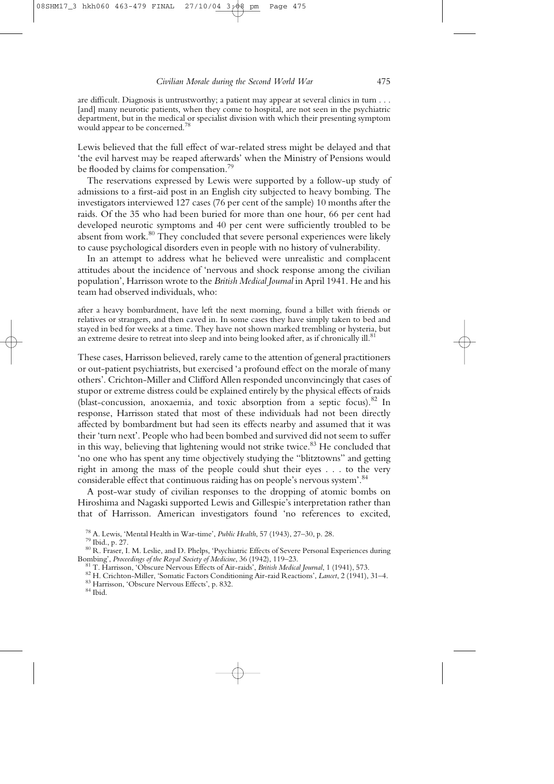are difficult. Diagnosis is untrustworthy; a patient may appear at several clinics in turn . . . [and] many neurotic patients, when they come to hospital, are not seen in the psychiatric department, but in the medical or specialist division with which their presenting symptom would appear to be concerned.<sup>78</sup>

Lewis believed that the full effect of war-related stress might be delayed and that 'the evil harvest may be reaped afterwards' when the Ministry of Pensions would be flooded by claims for compensation.79

The reservations expressed by Lewis were supported by a follow-up study of admissions to a first-aid post in an English city subjected to heavy bombing. The investigators interviewed 127 cases (76 per cent of the sample) 10 months after the raids. Of the 35 who had been buried for more than one hour, 66 per cent had developed neurotic symptoms and 40 per cent were sufficiently troubled to be absent from work. $80$  They concluded that severe personal experiences were likely to cause psychological disorders even in people with no history of vulnerability.

In an attempt to address what he believed were unrealistic and complacent attitudes about the incidence of 'nervous and shock response among the civilian population', Harrisson wrote to the *British Medical Journal* in April 1941. He and his team had observed individuals, who:

after a heavy bombardment, have left the next morning, found a billet with friends or relatives or strangers, and then caved in. In some cases they have simply taken to bed and stayed in bed for weeks at a time. They have not shown marked trembling or hysteria, but an extreme desire to retreat into sleep and into being looked after, as if chronically ill. $81$ 

These cases, Harrisson believed, rarely came to the attention of general practitioners or out-patient psychiatrists, but exercised 'a profound effect on the morale of many others'. Crichton-Miller and Clifford Allen responded unconvincingly that cases of stupor or extreme distress could be explained entirely by the physical effects of raids (blast-concussion, anoxaemia, and toxic absorption from a septic focus).<sup>82</sup> In response, Harrisson stated that most of these individuals had not been directly affected by bombardment but had seen its effects nearby and assumed that it was their 'turn next'. People who had been bombed and survived did not seem to suffer in this way, believing that lightening would not strike twice.<sup>83</sup> He concluded that 'no one who has spent any time objectively studying the "blitztowns" and getting right in among the mass of the people could shut their eyes . . . to the very considerable effect that continuous raiding has on people's nervous system'.<sup>84</sup>

A post-war study of civilian responses to the dropping of atomic bombs on Hiroshima and Nagaski supported Lewis and Gillespie's interpretation rather than that of Harrisson. American investigators found 'no references to excited,

<sup>&</sup>lt;sup>78</sup> A. Lewis, 'Mental Health in War-time', *Public Health*, 57 (1943), 27–30, p. 28.<br><sup>79</sup> Ibid., p. 27.<br><sup>80</sup> R. Fraser, I. M. Leslie, and D. Phelps, 'Psychiatric Effects of Severe Personal Experiences during<br>Bombing', *Pr* 

<sup>&</sup>lt;sup>81</sup> T. Harrisson, 'Obscure Nervous Effects of Air-raids', *British Medical Journal*, 1 (1941), 573.<br><sup>82</sup> H. Crichton-Miller, 'Somatic Factors Conditioning Air-raid Reactions', *Lancet*, 2 (1941), 31–4.<br><sup>83</sup> Harrisson, 'O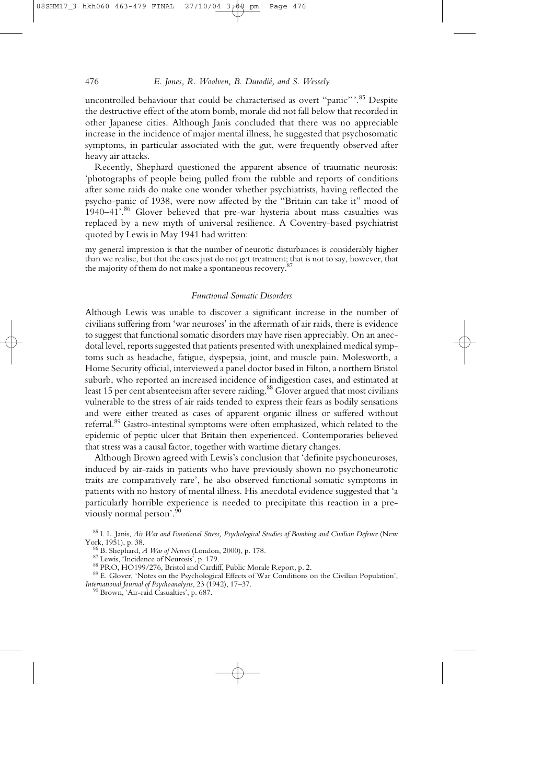uncontrolled behaviour that could be characterised as overt "panic".<sup>85</sup> Despite the destructive effect of the atom bomb, morale did not fall below that recorded in other Japanese cities. Although Janis concluded that there was no appreciable increase in the incidence of major mental illness, he suggested that psychosomatic symptoms, in particular associated with the gut, were frequently observed after heavy air attacks.

Recently, Shephard questioned the apparent absence of traumatic neurosis: 'photographs of people being pulled from the rubble and reports of conditions after some raids do make one wonder whether psychiatrists, having reflected the psycho-panic of 1938, were now affected by the "Britain can take it" mood of 1940–41'.<sup>86</sup> Glover believed that pre-war hysteria about mass casualties was replaced by a new myth of universal resilience. A Coventry-based psychiatrist quoted by Lewis in May 1941 had written:

my general impression is that the number of neurotic disturbances is considerably higher than we realise, but that the cases just do not get treatment; that is not to say, however, that the majority of them do not make a spontaneous recovery.<sup>87</sup>

# *Functional Somatic Disorders*

Although Lewis was unable to discover a significant increase in the number of civilians suffering from 'war neuroses' in the aftermath of air raids, there is evidence to suggest that functional somatic disorders may have risen appreciably. On an anecdotal level, reports suggested that patients presented with unexplained medical symptoms such as headache, fatigue, dyspepsia, joint, and muscle pain. Molesworth, a Home Security official, interviewed a panel doctor based in Filton, a northern Bristol suburb, who reported an increased incidence of indigestion cases, and estimated at least 15 per cent absenteeism after severe raiding.<sup>88</sup> Glover argued that most civilians vulnerable to the stress of air raids tended to express their fears as bodily sensations and were either treated as cases of apparent organic illness or suffered without referral.<sup>89</sup> Gastro-intestinal symptoms were often emphasized, which related to the epidemic of peptic ulcer that Britain then experienced. Contemporaries believed that stress was a causal factor, together with wartime dietary changes.

Although Brown agreed with Lewis's conclusion that 'definite psychoneuroses, induced by air-raids in patients who have previously shown no psychoneurotic traits are comparatively rare', he also observed functional somatic symptoms in patients with no history of mental illness. His anecdotal evidence suggested that 'a particularly horrible experience is needed to precipitate this reaction in a previously normal person'.90

<sup>85</sup> I. L. Janis, *Air War and Emotional Stress, Psychological Studies of Bombing and Civilian Defence* (New

<sup>%</sup> B. Shephard, *A War of Nerves* (London, 2000), p. 178.<br>
<sup>87</sup> Lewis, 'Incidence of Neurosis', p. 179.<br>
<sup>88</sup> PRO, HO199/276, Bristol and Cardiff, Public Morale Report, p. 2.<br>
<sup>89</sup> E. Glover, 'Notes on the Psychological Ef *International Journal of Psychoanalysis*, 23 (1942), 17–37.<br><sup>90</sup> Brown, 'Air-raid Casualties', p. 687.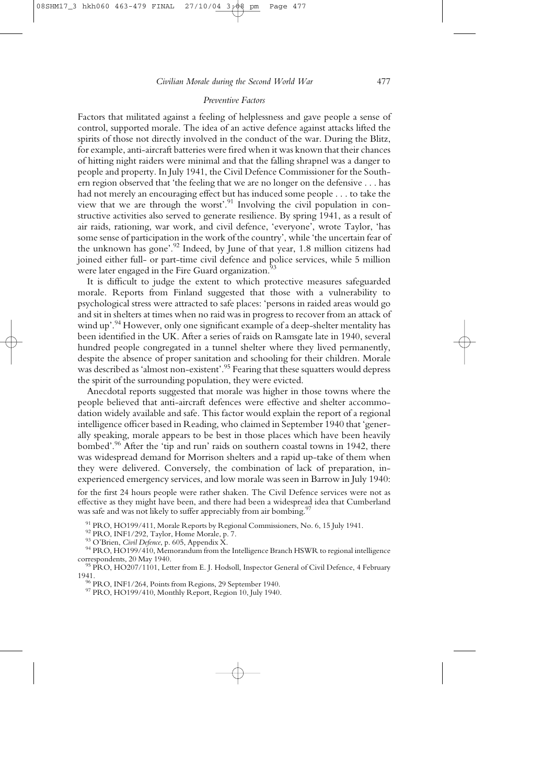## *Preventive Factors*

Factors that militated against a feeling of helplessness and gave people a sense of control, supported morale. The idea of an active defence against attacks lifted the spirits of those not directly involved in the conduct of the war. During the Blitz, for example, anti-aircraft batteries were fired when it was known that their chances of hitting night raiders were minimal and that the falling shrapnel was a danger to people and property. In July 1941, the Civil Defence Commissioner for the Southern region observed that 'the feeling that we are no longer on the defensive . . . has had not merely an encouraging effect but has induced some people . . . to take the view that we are through the worst'.<sup>91</sup> Involving the civil population in constructive activities also served to generate resilience. By spring 1941, as a result of air raids, rationing, war work, and civil defence, 'everyone', wrote Taylor, 'has some sense of participation in the work of the country', while 'the uncertain fear of the unknown has gone'.<sup>92</sup> Indeed, by June of that year, 1.8 million citizens had joined either full- or part-time civil defence and police services, while 5 million were later engaged in the Fire Guard organization.<sup>93</sup>

It is difficult to judge the extent to which protective measures safeguarded morale. Reports from Finland suggested that those with a vulnerability to psychological stress were attracted to safe places: 'persons in raided areas would go and sit in shelters at times when no raid was in progress to recover from an attack of wind up'.<sup>94</sup> However, only one significant example of a deep-shelter mentality has been identified in the UK. After a series of raids on Ramsgate late in 1940, several hundred people congregated in a tunnel shelter where they lived permanently, despite the absence of proper sanitation and schooling for their children. Morale was described as 'almost non-existent'.<sup>95</sup> Fearing that these squatters would depress the spirit of the surrounding population, they were evicted.

Anecdotal reports suggested that morale was higher in those towns where the people believed that anti-aircraft defences were effective and shelter accommodation widely available and safe. This factor would explain the report of a regional intelligence officer based in Reading, who claimed in September 1940 that 'generally speaking, morale appears to be best in those places which have been heavily bombed'.<sup>96</sup> After the 'tip and run' raids on southern coastal towns in 1942, there was widespread demand for Morrison shelters and a rapid up-take of them when they were delivered. Conversely, the combination of lack of preparation, inexperienced emergency services, and low morale was seen in Barrow in July 1940:

for the first 24 hours people were rather shaken. The Civil Defence services were not as effective as they might have been, and there had been a widespread idea that Cumberland was safe and was not likely to suffer appreciably from air bombing.<sup>97</sup>

<sup>91</sup> PRO, HO199/411, Morale Reports by Regional Commissioners, No. 6, 15 July 1941.<br><sup>92</sup> PRO, INF1/292, Taylor, Home Morale, p. 7.<br><sup>93</sup> O'Brien, *Civil Defence*, p. 605, Appendix X.<br><sup>94</sup> PRO, HO199/410, Memorandum from th

 $\overline{P}^5$  PRO, HO207/1101, Letter from E. J. Hodsoll, Inspector General of Civil Defence, 4 February 1941. 96 PRO, INF1/264, Points from Regions, 29 September 1940. 97 PRO, HO199/410, Monthly Report, Region 10, July 1940.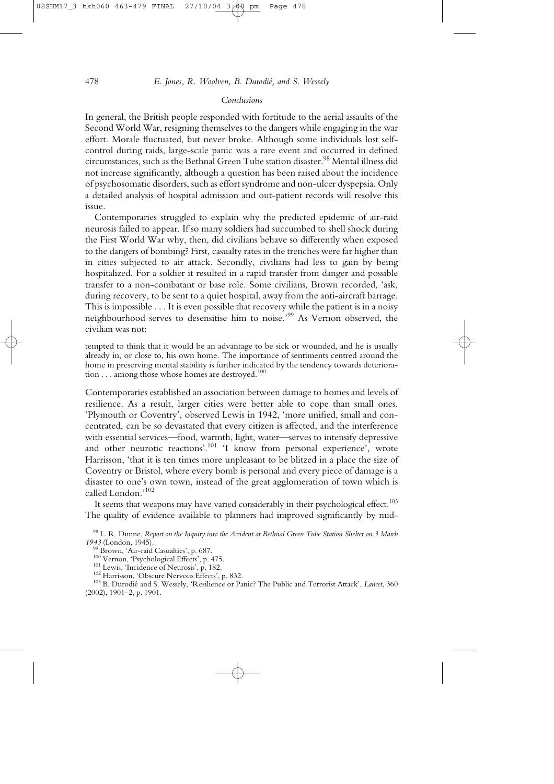#### *Conclusions*

In general, the British people responded with fortitude to the aerial assaults of the Second World War, resigning themselves to the dangers while engaging in the war effort. Morale fluctuated, but never broke. Although some individuals lost selfcontrol during raids, large-scale panic was a rare event and occurred in defined circumstances, such as the Bethnal Green Tube station disaster.<sup>98</sup> Mental illness did not increase significantly, although a question has been raised about the incidence of psychosomatic disorders, such as effort syndrome and non-ulcer dyspepsia. Only a detailed analysis of hospital admission and out-patient records will resolve this issue.

Contemporaries struggled to explain why the predicted epidemic of air-raid neurosis failed to appear. If so many soldiers had succumbed to shell shock during the First World War why, then, did civilians behave so differently when exposed to the dangers of bombing? First, casualty rates in the trenches were far higher than in cities subjected to air attack. Secondly, civilians had less to gain by being hospitalized. For a soldier it resulted in a rapid transfer from danger and possible transfer to a non-combatant or base role. Some civilians, Brown recorded, 'ask, during recovery, to be sent to a quiet hospital, away from the anti-aircraft barrage. This is impossible . . . It is even possible that recovery while the patient is in a noisy neighbourhood serves to desensitise him to noise.'99 As Vernon observed, the civilian was not:

tempted to think that it would be an advantage to be sick or wounded, and he is usually already in, or close to, his own home. The importance of sentiments centred around the home in preserving mental stability is further indicated by the tendency towards deterioration . . . among those whose homes are destroyed.  $^{100}$ 

Contemporaries established an association between damage to homes and levels of resilience. As a result, larger cities were better able to cope than small ones. 'Plymouth or Coventry', observed Lewis in 1942, 'more unified, small and concentrated, can be so devastated that every citizen is affected, and the interference with essential services—food, warmth, light, water—serves to intensify depressive and other neurotic reactions'.<sup>101</sup> 'I know from personal experience', wrote Harrisson, 'that it is ten times more unpleasant to be blitzed in a place the size of Coventry or Bristol, where every bomb is personal and every piece of damage is a disaster to one's own town, instead of the great agglomeration of town which is called London.'102

It seems that weapons may have varied considerably in their psychological effect.<sup>103</sup> The quality of evidence available to planners had improved significantly by mid-

<sup>98</sup> L. R. Dunne, *Report on the Inquiry into the Accident at Bethnal Green Tube Station Shelter on 3 March*

<sup>&</sup>lt;sup>99</sup> Brown, 'Air-raid Casualties', p. 687.<br><sup>100</sup> Vernon, 'Psychological Effects', p. 475.<br><sup>101</sup> Lewis, 'Incidence of Neurosis', p. 182.<br><sup>102</sup> Harrisson, 'Obscure Nervous Effects', p. 832.<br><sup>103</sup> B. Durodié and S. Wessely, ' (2002), 1901–2, p. 1901.